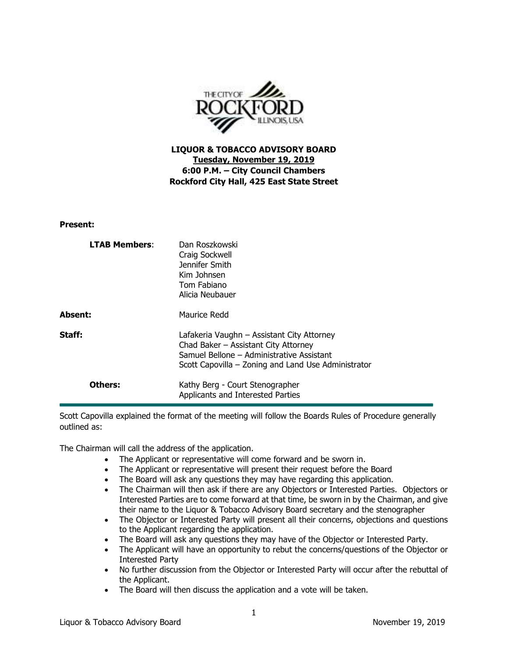

**LIQUOR & TOBACCO ADVISORY BOARD Tuesday, November 19, 2019 6:00 P.M. – City Council Chambers Rockford City Hall, 425 East State Street** 

## **Present:**

| <b>LTAB Members:</b> | Dan Roszkowski<br>Craig Sockwell<br>Jennifer Smith<br>Kim Johnsen<br>Tom Fabiano<br>Alicia Neubauer                                                                                    |
|----------------------|----------------------------------------------------------------------------------------------------------------------------------------------------------------------------------------|
| Absent:              | Maurice Redd                                                                                                                                                                           |
| Staff:               | Lafakeria Vaughn - Assistant City Attorney<br>Chad Baker - Assistant City Attorney<br>Samuel Bellone – Administrative Assistant<br>Scott Capovilla – Zoning and Land Use Administrator |
| Others:              | Kathy Berg - Court Stenographer<br>Applicants and Interested Parties                                                                                                                   |

Scott Capovilla explained the format of the meeting will follow the Boards Rules of Procedure generally outlined as:

The Chairman will call the address of the application.

- The Applicant or representative will come forward and be sworn in.
- The Applicant or representative will present their request before the Board
- The Board will ask any questions they may have regarding this application.
- The Chairman will then ask if there are any Objectors or Interested Parties. Objectors or Interested Parties are to come forward at that time, be sworn in by the Chairman, and give their name to the Liquor & Tobacco Advisory Board secretary and the stenographer
- The Objector or Interested Party will present all their concerns, objections and questions to the Applicant regarding the application.
- The Board will ask any questions they may have of the Objector or Interested Party.
- The Applicant will have an opportunity to rebut the concerns/questions of the Objector or Interested Party
- No further discussion from the Objector or Interested Party will occur after the rebuttal of the Applicant.
- The Board will then discuss the application and a vote will be taken.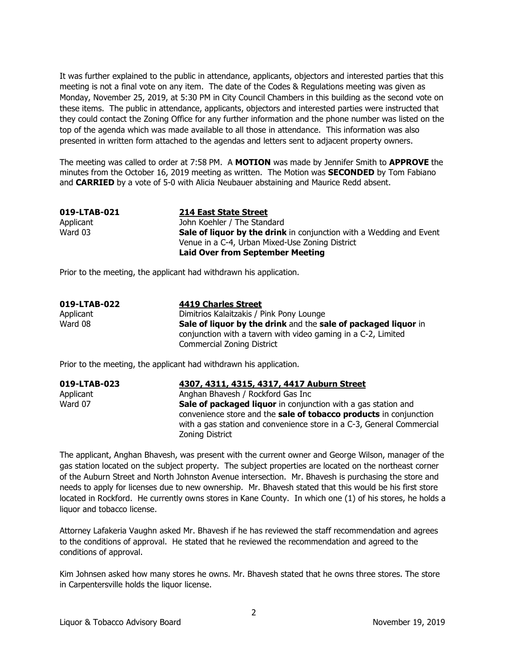It was further explained to the public in attendance, applicants, objectors and interested parties that this meeting is not a final vote on any item. The date of the Codes & Regulations meeting was given as Monday, November 25, 2019, at 5:30 PM in City Council Chambers in this building as the second vote on these items. The public in attendance, applicants, objectors and interested parties were instructed that they could contact the Zoning Office for any further information and the phone number was listed on the top of the agenda which was made available to all those in attendance. This information was also presented in written form attached to the agendas and letters sent to adjacent property owners.

The meeting was called to order at 7:58 PM. A **MOTION** was made by Jennifer Smith to **APPROVE** the minutes from the October 16, 2019 meeting as written. The Motion was **SECONDED** by Tom Fabiano and **CARRIED** by a vote of 5-0 with Alicia Neubauer abstaining and Maurice Redd absent.

| 019-LTAB-021 | 214 East State Street                                                      |
|--------------|----------------------------------------------------------------------------|
| Applicant    | John Koehler / The Standard                                                |
| Ward 03      | <b>Sale of liquor by the drink</b> in conjunction with a Wedding and Event |
|              | Venue in a C-4, Urban Mixed-Use Zoning District                            |
|              | <b>Laid Over from September Meeting</b>                                    |

Prior to the meeting, the applicant had withdrawn his application.

| 019-LTAB-022 | <b>4419 Charles Street</b>                                     |
|--------------|----------------------------------------------------------------|
| Applicant    | Dimitrios Kalaitzakis / Pink Pony Lounge                       |
| Ward 08      | Sale of liquor by the drink and the sale of packaged liquor in |
|              | conjunction with a tavern with video gaming in a C-2, Limited  |
|              | Commercial Zoning District                                     |

Prior to the meeting, the applicant had withdrawn his application.

| 019-LTAB-023 | 4307, 4311, 4315, 4317, 4417 Auburn Street                                                                                         |
|--------------|------------------------------------------------------------------------------------------------------------------------------------|
| Applicant    | Anghan Bhavesh / Rockford Gas Inc                                                                                                  |
| Ward 07      | Sale of packaged liquor in conjunction with a gas station and<br>convenience store and the sale of tobacco products in conjunction |
|              | with a gas station and convenience store in a C-3, General Commercial<br>Zoning District                                           |

The applicant, Anghan Bhavesh, was present with the current owner and George Wilson, manager of the gas station located on the subject property. The subject properties are located on the northeast corner of the Auburn Street and North Johnston Avenue intersection. Mr. Bhavesh is purchasing the store and needs to apply for licenses due to new ownership. Mr. Bhavesh stated that this would be his first store located in Rockford. He currently owns stores in Kane County. In which one (1) of his stores, he holds a liquor and tobacco license.

Attorney Lafakeria Vaughn asked Mr. Bhavesh if he has reviewed the staff recommendation and agrees to the conditions of approval. He stated that he reviewed the recommendation and agreed to the conditions of approval.

Kim Johnsen asked how many stores he owns. Mr. Bhavesh stated that he owns three stores. The store in Carpentersville holds the liquor license.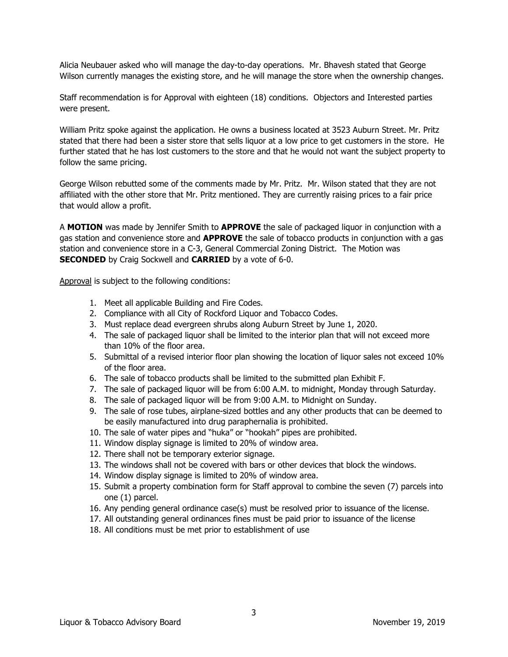Alicia Neubauer asked who will manage the day-to-day operations. Mr. Bhavesh stated that George Wilson currently manages the existing store, and he will manage the store when the ownership changes.

Staff recommendation is for Approval with eighteen (18) conditions. Objectors and Interested parties were present.

William Pritz spoke against the application. He owns a business located at 3523 Auburn Street. Mr. Pritz stated that there had been a sister store that sells liquor at a low price to get customers in the store. He further stated that he has lost customers to the store and that he would not want the subject property to follow the same pricing.

George Wilson rebutted some of the comments made by Mr. Pritz. Mr. Wilson stated that they are not affiliated with the other store that Mr. Pritz mentioned. They are currently raising prices to a fair price that would allow a profit.

A **MOTION** was made by Jennifer Smith to **APPROVE** the sale of packaged liquor in conjunction with a gas station and convenience store and **APPROVE** the sale of tobacco products in conjunction with a gas station and convenience store in a C-3, General Commercial Zoning District. The Motion was **SECONDED** by Craig Sockwell and **CARRIED** by a vote of 6-0.

- 1. Meet all applicable Building and Fire Codes.
- 2. Compliance with all City of Rockford Liquor and Tobacco Codes.
- 3. Must replace dead evergreen shrubs along Auburn Street by June 1, 2020.
- 4. The sale of packaged liquor shall be limited to the interior plan that will not exceed more than 10% of the floor area.
- 5. Submittal of a revised interior floor plan showing the location of liquor sales not exceed 10% of the floor area.
- 6. The sale of tobacco products shall be limited to the submitted plan Exhibit F.
- 7. The sale of packaged liquor will be from 6:00 A.M. to midnight, Monday through Saturday.
- 8. The sale of packaged liquor will be from 9:00 A.M. to Midnight on Sunday.
- 9. The sale of rose tubes, airplane-sized bottles and any other products that can be deemed to be easily manufactured into drug paraphernalia is prohibited.
- 10. The sale of water pipes and "huka" or "hookah" pipes are prohibited.
- 11. Window display signage is limited to 20% of window area.
- 12. There shall not be temporary exterior signage.
- 13. The windows shall not be covered with bars or other devices that block the windows.
- 14. Window display signage is limited to 20% of window area.
- 15. Submit a property combination form for Staff approval to combine the seven (7) parcels into one (1) parcel.
- 16. Any pending general ordinance case(s) must be resolved prior to issuance of the license.
- 17. All outstanding general ordinances fines must be paid prior to issuance of the license
- 18. All conditions must be met prior to establishment of use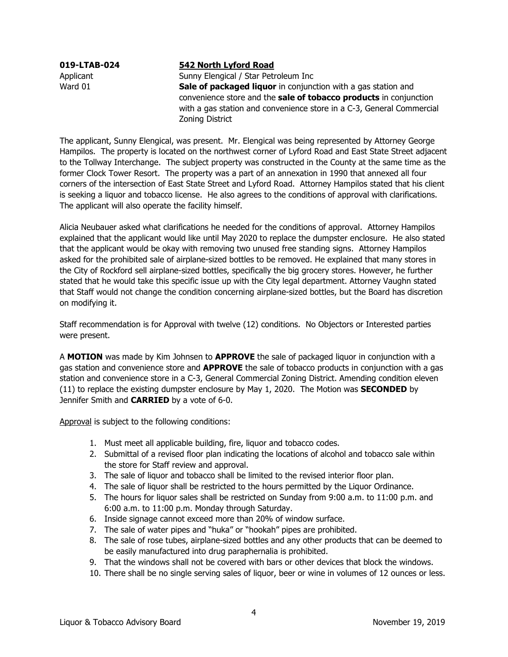## **019-LTAB-024 542 North Lyford Road**

Applicant **Sunny Elengical / Star Petroleum Inc** Ward 01 **Sale of packaged liquor** in conjunction with a gas station and convenience store and the **sale of tobacco products** in conjunction with a gas station and convenience store in a C-3, General Commercial Zoning District

The applicant, Sunny Elengical, was present. Mr. Elengical was being represented by Attorney George Hampilos. The property is located on the northwest corner of Lyford Road and East State Street adjacent to the Tollway Interchange. The subject property was constructed in the County at the same time as the former Clock Tower Resort. The property was a part of an annexation in 1990 that annexed all four corners of the intersection of East State Street and Lyford Road. Attorney Hampilos stated that his client is seeking a liquor and tobacco license. He also agrees to the conditions of approval with clarifications. The applicant will also operate the facility himself.

Alicia Neubauer asked what clarifications he needed for the conditions of approval. Attorney Hampilos explained that the applicant would like until May 2020 to replace the dumpster enclosure. He also stated that the applicant would be okay with removing two unused free standing signs. Attorney Hampilos asked for the prohibited sale of airplane-sized bottles to be removed. He explained that many stores in the City of Rockford sell airplane-sized bottles, specifically the big grocery stores. However, he further stated that he would take this specific issue up with the City legal department. Attorney Vaughn stated that Staff would not change the condition concerning airplane-sized bottles, but the Board has discretion on modifying it.

Staff recommendation is for Approval with twelve (12) conditions. No Objectors or Interested parties were present.

A **MOTION** was made by Kim Johnsen to **APPROVE** the sale of packaged liquor in conjunction with a gas station and convenience store and **APPROVE** the sale of tobacco products in conjunction with a gas station and convenience store in a C-3, General Commercial Zoning District. Amending condition eleven (11) to replace the existing dumpster enclosure by May 1, 2020. The Motion was **SECONDED** by Jennifer Smith and **CARRIED** by a vote of 6-0.

- 1. Must meet all applicable building, fire, liquor and tobacco codes.
- 2. Submittal of a revised floor plan indicating the locations of alcohol and tobacco sale within the store for Staff review and approval.
- 3. The sale of liquor and tobacco shall be limited to the revised interior floor plan.
- 4. The sale of liquor shall be restricted to the hours permitted by the Liquor Ordinance.
- 5. The hours for liquor sales shall be restricted on Sunday from 9:00 a.m. to 11:00 p.m. and 6:00 a.m. to 11:00 p.m. Monday through Saturday.
- 6. Inside signage cannot exceed more than 20% of window surface.
- 7. The sale of water pipes and "huka" or "hookah" pipes are prohibited.
- 8. The sale of rose tubes, airplane-sized bottles and any other products that can be deemed to be easily manufactured into drug paraphernalia is prohibited.
- 9. That the windows shall not be covered with bars or other devices that block the windows.
- 10. There shall be no single serving sales of liquor, beer or wine in volumes of 12 ounces or less.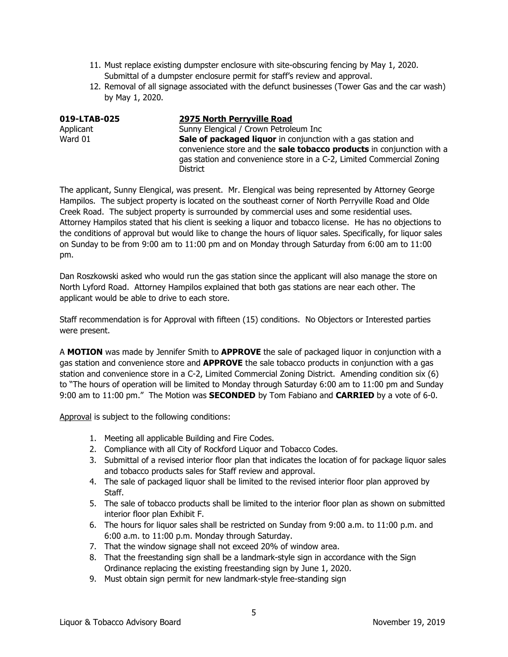- 11. Must replace existing dumpster enclosure with site-obscuring fencing by May 1, 2020. Submittal of a dumpster enclosure permit for staff's review and approval.
- 12. Removal of all signage associated with the defunct businesses (Tower Gas and the car wash) by May 1, 2020.

| 019-LTAB-025 | 2975 North Perryville Road                                                                                                                                                                                                         |
|--------------|------------------------------------------------------------------------------------------------------------------------------------------------------------------------------------------------------------------------------------|
| Applicant    | Sunny Elengical / Crown Petroleum Inc                                                                                                                                                                                              |
| Ward 01      | Sale of packaged liquor in conjunction with a gas station and<br>convenience store and the sale tobacco products in conjunction with a<br>gas station and convenience store in a C-2, Limited Commercial Zoning<br><b>District</b> |

The applicant, Sunny Elengical, was present. Mr. Elengical was being represented by Attorney George Hampilos. The subject property is located on the southeast corner of North Perryville Road and Olde Creek Road. The subject property is surrounded by commercial uses and some residential uses. Attorney Hampilos stated that his client is seeking a liquor and tobacco license. He has no objections to the conditions of approval but would like to change the hours of liquor sales. Specifically, for liquor sales on Sunday to be from 9:00 am to 11:00 pm and on Monday through Saturday from 6:00 am to 11:00 pm.

Dan Roszkowski asked who would run the gas station since the applicant will also manage the store on North Lyford Road. Attorney Hampilos explained that both gas stations are near each other. The applicant would be able to drive to each store.

Staff recommendation is for Approval with fifteen (15) conditions. No Objectors or Interested parties were present.

A **MOTION** was made by Jennifer Smith to **APPROVE** the sale of packaged liquor in conjunction with a gas station and convenience store and **APPROVE** the sale tobacco products in conjunction with a gas station and convenience store in a C-2, Limited Commercial Zoning District. Amending condition six (6) to "The hours of operation will be limited to Monday through Saturday 6:00 am to 11:00 pm and Sunday 9:00 am to 11:00 pm." The Motion was **SECONDED** by Tom Fabiano and **CARRIED** by a vote of 6-0.

- 1. Meeting all applicable Building and Fire Codes.
- 2. Compliance with all City of Rockford Liquor and Tobacco Codes.
- 3. Submittal of a revised interior floor plan that indicates the location of for package liquor sales and tobacco products sales for Staff review and approval.
- 4. The sale of packaged liquor shall be limited to the revised interior floor plan approved by Staff.
- 5. The sale of tobacco products shall be limited to the interior floor plan as shown on submitted interior floor plan Exhibit F.
- 6. The hours for liquor sales shall be restricted on Sunday from 9:00 a.m. to 11:00 p.m. and 6:00 a.m. to 11:00 p.m. Monday through Saturday.
- 7. That the window signage shall not exceed 20% of window area.
- 8. That the freestanding sign shall be a landmark-style sign in accordance with the Sign Ordinance replacing the existing freestanding sign by June 1, 2020.
- 9. Must obtain sign permit for new landmark-style free-standing sign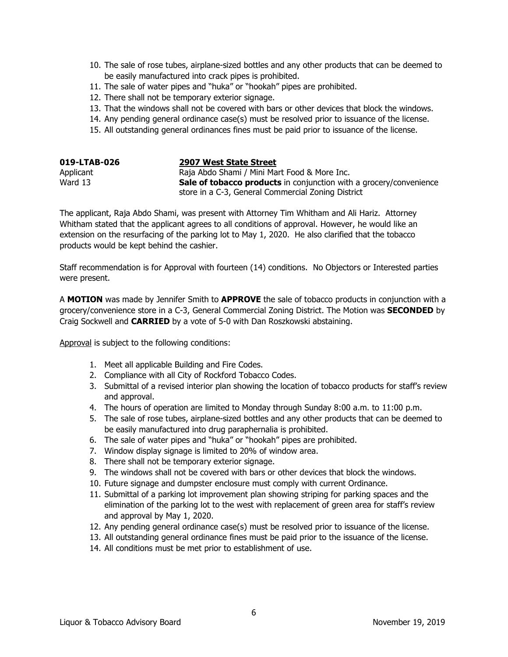- 10. The sale of rose tubes, airplane-sized bottles and any other products that can be deemed to be easily manufactured into crack pipes is prohibited.
- 11. The sale of water pipes and "huka" or "hookah" pipes are prohibited.
- 12. There shall not be temporary exterior signage.
- 13. That the windows shall not be covered with bars or other devices that block the windows.
- 14. Any pending general ordinance case(s) must be resolved prior to issuance of the license.
- 15. All outstanding general ordinances fines must be paid prior to issuance of the license.

| 019-LTAB-026 | 2907 West State Street                                                    |
|--------------|---------------------------------------------------------------------------|
| Applicant    | Raja Abdo Shami / Mini Mart Food & More Inc.                              |
| Ward 13      | <b>Sale of tobacco products</b> in conjunction with a grocery/convenience |
|              | store in a C-3, General Commercial Zoning District                        |

The applicant, Raja Abdo Shami, was present with Attorney Tim Whitham and Ali Hariz. Attorney Whitham stated that the applicant agrees to all conditions of approval. However, he would like an extension on the resurfacing of the parking lot to May 1, 2020. He also clarified that the tobacco products would be kept behind the cashier.

Staff recommendation is for Approval with fourteen (14) conditions. No Objectors or Interested parties were present.

A **MOTION** was made by Jennifer Smith to **APPROVE** the sale of tobacco products in conjunction with a grocery/convenience store in a C-3, General Commercial Zoning District. The Motion was **SECONDED** by Craig Sockwell and **CARRIED** by a vote of 5-0 with Dan Roszkowski abstaining.

- 1. Meet all applicable Building and Fire Codes.
- 2. Compliance with all City of Rockford Tobacco Codes.
- 3. Submittal of a revised interior plan showing the location of tobacco products for staff's review and approval.
- 4. The hours of operation are limited to Monday through Sunday 8:00 a.m. to 11:00 p.m.
- 5. The sale of rose tubes, airplane-sized bottles and any other products that can be deemed to be easily manufactured into drug paraphernalia is prohibited.
- 6. The sale of water pipes and "huka" or "hookah" pipes are prohibited.
- 7. Window display signage is limited to 20% of window area.
- 8. There shall not be temporary exterior signage.
- 9. The windows shall not be covered with bars or other devices that block the windows.
- 10. Future signage and dumpster enclosure must comply with current Ordinance.
- 11. Submittal of a parking lot improvement plan showing striping for parking spaces and the elimination of the parking lot to the west with replacement of green area for staff's review and approval by May 1, 2020.
- 12. Any pending general ordinance case(s) must be resolved prior to issuance of the license.
- 13. All outstanding general ordinance fines must be paid prior to the issuance of the license.
- 14. All conditions must be met prior to establishment of use.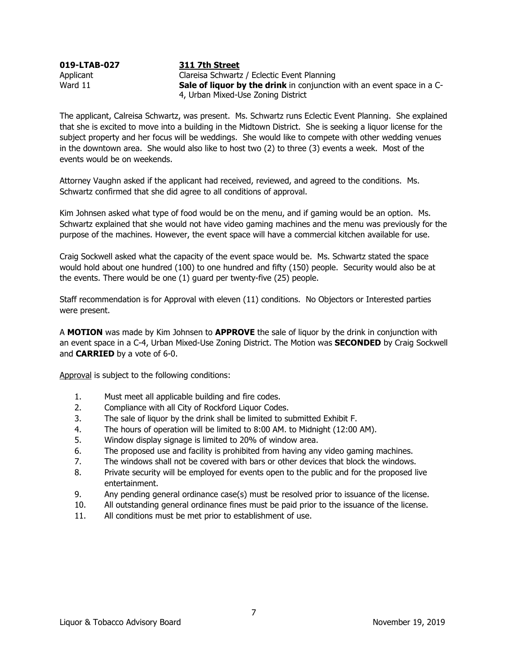| 019-LTAB-027 | 311 7th Street                                                                |
|--------------|-------------------------------------------------------------------------------|
| Applicant    | Clareisa Schwartz / Eclectic Event Planning                                   |
| Ward 11      | <b>Sale of liquor by the drink</b> in conjunction with an event space in a C- |
|              | 4, Urban Mixed-Use Zoning District                                            |
|              |                                                                               |

The applicant, Calreisa Schwartz, was present. Ms. Schwartz runs Eclectic Event Planning. She explained that she is excited to move into a building in the Midtown District. She is seeking a liquor license for the subject property and her focus will be weddings. She would like to compete with other wedding venues in the downtown area. She would also like to host two (2) to three (3) events a week. Most of the events would be on weekends.

Attorney Vaughn asked if the applicant had received, reviewed, and agreed to the conditions. Ms. Schwartz confirmed that she did agree to all conditions of approval.

Kim Johnsen asked what type of food would be on the menu, and if gaming would be an option. Ms. Schwartz explained that she would not have video gaming machines and the menu was previously for the purpose of the machines. However, the event space will have a commercial kitchen available for use.

Craig Sockwell asked what the capacity of the event space would be. Ms. Schwartz stated the space would hold about one hundred (100) to one hundred and fifty (150) people. Security would also be at the events. There would be one (1) guard per twenty-five (25) people.

Staff recommendation is for Approval with eleven (11) conditions. No Objectors or Interested parties were present.

A **MOTION** was made by Kim Johnsen to **APPROVE** the sale of liquor by the drink in conjunction with an event space in a C-4, Urban Mixed-Use Zoning District. The Motion was **SECONDED** by Craig Sockwell and **CARRIED** by a vote of 6-0.

- 1. Must meet all applicable building and fire codes.
- 2. Compliance with all City of Rockford Liquor Codes.
- 3. The sale of liquor by the drink shall be limited to submitted Exhibit F.
- 4. The hours of operation will be limited to 8:00 AM. to Midnight (12:00 AM).
- 5. Window display signage is limited to 20% of window area.
- 6. The proposed use and facility is prohibited from having any video gaming machines.
- 7. The windows shall not be covered with bars or other devices that block the windows.
- 8. Private security will be employed for events open to the public and for the proposed live entertainment.
- 9. Any pending general ordinance case(s) must be resolved prior to issuance of the license.
- 10. All outstanding general ordinance fines must be paid prior to the issuance of the license.
- 11. All conditions must be met prior to establishment of use.